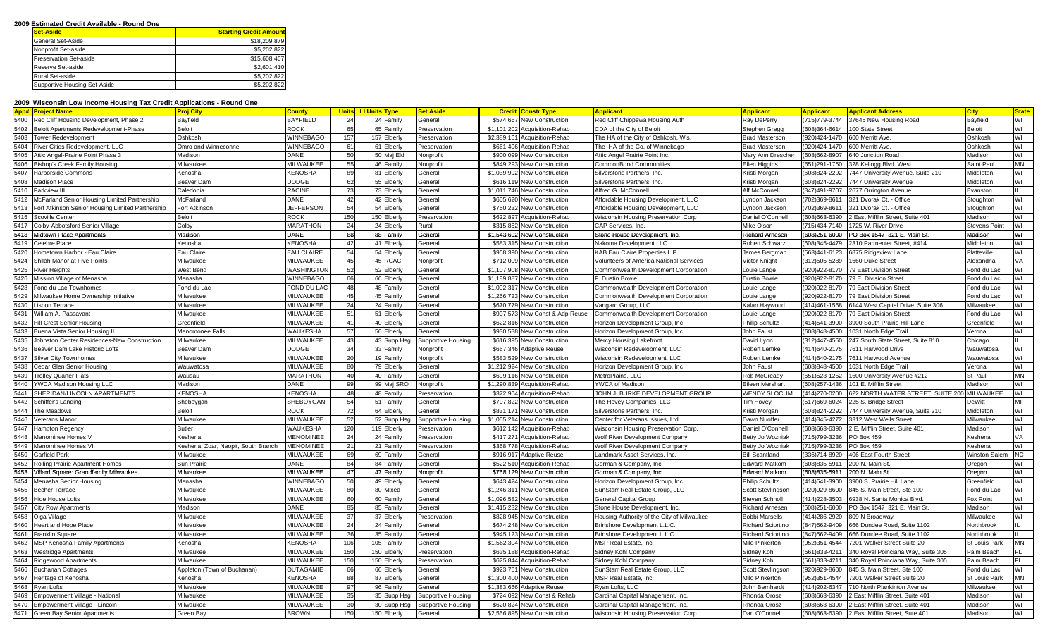## **2009 Estimated Credit Available - Round One**

| <b>Set-Aside</b>             | <b>Starting Credit Amount</b> |
|------------------------------|-------------------------------|
| General Set-Aside            | \$18,209,879                  |
| Nonprofit Set-aside          | \$5,202,822                   |
| Preservation Set-aside       | \$15,608,467                  |
| Reserve Set-aside            | \$2,601,410                   |
| Rural Set-aside              | \$5,202,822                   |
| Supportive Housing Set-Aside | \$5,202,822                   |

## **2009 Wisconsin Low Income Housing Tax Credit Applications - Round One**

| <b>App# Project Name</b>                                 | <b>Proj City</b>                    | <b>County</b>     |     | <b>Units LI Units Type</b> | <b>Set Aside</b><br><b>Credit</b><br><u>Constr Type</u> |                                        | Applicant                                            | Applicant                     | Applicant        | <b>Applicant Address</b>                       | <b>City</b>                          |                         |
|----------------------------------------------------------|-------------------------------------|-------------------|-----|----------------------------|---------------------------------------------------------|----------------------------------------|------------------------------------------------------|-------------------------------|------------------|------------------------------------------------|--------------------------------------|-------------------------|
| 5400 Red Cliff Housing Development, Phase 2              | Bayfield                            | <b>BAYFIELD</b>   | 24  | 24 Family                  | \$574,667 New Construction<br>General                   |                                        | Red Cliff Chippewa Housing Auth                      | Ray DePerry                   | (715)779-3744    | 37645 New Housing Road                         | Bayfield                             | WI                      |
| 5402<br>Beloit Apartments Redevelopment-Phase I          | <b>Beloit</b>                       | <b>ROCK</b>       | 65  | 65 Family                  | \$1,101,202<br>Acquisition-Rehab<br>Preservation        |                                        | CDA of the City of Beloit                            | Stephen Gregg                 | $(608)364 - 661$ | 100 State Stree                                | Beloit                               | WI                      |
| 5403<br><b>Tower Redevelopment</b>                       | Oshkosh                             | WINNEBAGO         | 157 | 157 Elderly                | Preservation<br>\$2,389,161 Acquisition-Rehab           |                                        | The HA of the City of Oshkosh, Wis.                  | Brad Masterson                | (920)424-1470    | 600 Merritt Ave                                | Oshkosh                              | WI                      |
| 5404 River Cities Redevelopment, LLC                     | Omro and Winneconne                 | WINNEBAGO         | 61  | 61 Elderly                 | \$661.406 Acquisition-Rehab<br>Preservation             |                                        | The HA of the Co. of Winnebago                       | <b>Brad Masterson</b>         | 920)424-1470     | 600 Merritt Ave                                | Oshkosh                              | $\overline{\mathsf{M}}$ |
| 5405<br>Attic Angel-Prairie Point Phase 3                | Madison                             | DANE              | 50  | 50 Maj Eld                 | \$900,099 New Construction<br>Nonprofit                 |                                        | Attic Angel Prairie Point Inc                        | Mary Ann Drescher             | 608)662-8907     | 640 Junction Road                              | Madison                              | WI                      |
| 5406<br><b>Bishop's Creek Family Housing</b>             | Milwaukee                           | MILWAUKEE         | 55  | 46 Family                  | Nonprofit<br>\$849,293 New Construction                 |                                        | CommonBond Communities                               | Ilen Higgins                  | 651)291-1750     | 328 Kellogg Blvd. West                         | Saint Paul                           | <b>MN</b>               |
| 5407<br>Harborside Commons                               | Kenosha                             | <b>KENOSHA</b>    | 89  | 81 Elderly                 | General<br>\$1,039,992 New Construction                 |                                        | Silverstone Partners, Inc.                           | Kristi Morgan                 | (608) 824-2292   | 7447 University Avenue, Suite 210              | Middleton                            | M                       |
| 5408<br><b>Madison Place</b>                             | Beaver Dam                          | <b>DODGE</b>      | 62  | 55 Elderly                 | \$616,119 New Construction<br>General                   |                                        | Silverstone Partners, Inc.                           | Kristi Morgan                 | (608) 824-2292   | 7447 University Avenue                         | Middleton                            | WI                      |
| 5410<br>Parkview III                                     | Caledonia                           | <b>RACINE</b>     | 73  | 73 Elderly                 | General<br>\$1.011.746<br><b>New Construction</b>       |                                        | Alfred G. McConnell                                  | Alf McConnell                 | (847)491-9707    | 2677 Orrington Avenue                          | Evanston                             |                         |
| 5412 McFarland Senior Housing Limited Partnership        | McFarland                           | DANE              | 42  | 42 Elderly                 | General<br>\$605,620 New Construction                   |                                        | Affordable Housing Development, LLC                  | vndon Jacksor.                | 702)369-861      | 321 Dvorak Ct. - Office                        | Stoughton                            | M                       |
| 5413<br>Fort Atkinson Senior Housing Limited Partnership | Fort Atkinson                       | <b>JEFFERSON</b>  | 54  | 54 Elderly                 | \$750.232<br>General<br><b>New Construction</b>         |                                        | Affordable Housing Development, LLC                  | Lyndon Jackson                | 702)369-861      | 321 Dvorak Ct. - Office                        | Stoughton                            | WI                      |
| Scoville Center                                          | Beloit                              | ROCK              | 150 | 150 Elderly                | \$622,897<br>Preservation<br>Acquisition-Rehab          |                                        | <b>Nisconsin Housing Preservation Corp</b>           | Daniel O'Connel               | 608)663-6390     | East Mifflin Street, Suite 401                 | Madison                              | WI                      |
| 5417<br>Colby-Abbotsford Senior Village                  | Colby                               | MARATHON          | 24  | 24 Elderly                 | Rural                                                   | \$315,852<br><b>New Construction</b>   | CAP Services, Inc.                                   | Mike Olson                    | 715)434-7140     | 725 W. River Drive                             | <b>Stevens Point</b>                 | WI                      |
| 5418<br>Midtown Place Apartments                         | Madison                             | DANE              | 88  | 88 Family                  | General                                                 | \$1,543,602 New Construction           | Stone House Development, Inc.                        | Richard Arneser               | (608)251-6000    | PO Box 1547 321 E. Main St.                    | Madison                              | ś                       |
| 5419<br>Celebre Place                                    | Kenosha                             | <b>KENOSHA</b>    | 42  | 41 Elderly                 | General                                                 | \$583,315 New Construction             | Nakoma Development LLC                               | <b>Robert Schwarz</b>         | (608)345-4479    | 2310 Parmenter Street, #414                    | Middleton                            | WI                      |
| 5420<br>Iometown Harbor - Eau Claire                     | Eau Claire                          | <b>EAU CLAIRE</b> | 54  | 54 Elderly                 | General                                                 | \$958,390 New Construction             | KAB Eau Claire Properties L.P                        | James Bergman                 | (563)441-6123    | 875 Ridgeview Lane                             | Platteville                          | WI                      |
| 5424 Shiloh Manor at Five Points                         | Milwaukee                           | MILWAUKEE         | 45  | 45 RCAC                    | Nonprofit                                               | \$712,009 New Construction             | <b>/olunteers of America National Services</b>       | Victor Knight                 | (312)505-5289    | 660 Duke Street                                | Alexandria                           | VA                      |
| 5425 River Heights                                       | West Bend                           | WASHINGTOM        | 52  | 52 Elderly                 | General                                                 | \$1,107,908 New Construction           | Commonwealth Development Corporation                 | Louie Lange                   | 920)922-8170     | '9 East Division Street                        | Fond du Lac                          | WI                      |
| 5426<br>lission Village of Menasha                       | Menasha                             | WINNEBAGO         | 66  | 66 Elderly                 | General                                                 | \$1,189,887<br><b>New Construction</b> | . Dustin Bowie                                       | Dustin Bowie                  | 920)922-817      | 9 E. Division Street                           | Fond du Lac                          | WI                      |
| 5428<br>Fond du Lac Townhomes                            | Fond du Lac                         | FOND DU LAC       | 48  | 48 Family                  | General                                                 | \$1,092,317 New Construction           | Commonwealth Development Corporation                 | Louie Lange                   | 920)922-8170     | '9 East Division Street                        | Fond du Lac                          | WI                      |
| 5429<br>Milwaukee Home Ownership Initiative              | Milwaukee                           | MILWAUKEE         | 45  | 45 Family                  | General                                                 | \$1,266,723 New Construction           | Commonwealth Development Corporation                 | Louie Lange                   | (920) 922-817    | 79 East Division Street                        | Fond du Lac                          | M                       |
| 5430<br>isbon Terrace                                    | Milwaukee                           | MILWAUKEE         | 24  | 24 Family                  | General                                                 | \$670.779 New Construction             | angard Group, LLC                                    | Kalan Haywood                 | (414)461-1568    | 144 West Capital Drive, Suite 306              | Milwaukee                            | WI                      |
| 5431<br>Villiam A. Passavant                             | Milwaukee                           | MILWAUKEE         | 51  | 51 Elderly                 | General                                                 | \$907,573 New Const & Adp Reuse        | Commonwealth Development Corporation                 | Louie Lange                   | 920)922-8170     | 9 East Division Street                         | Fond du Lac                          | WI                      |
| 5432<br><b>Hill Crest Senior Housing</b>                 | Greenfield                          | <b>MILWAUKEE</b>  | 41  | 40 Elderly                 | General                                                 | \$622,816 New Construction             | Horizon Development Group, Inc                       | <b>Philip Schultz</b>         | (414)541-3900    | 3900 South Prairie Hill Lane                   | Greenfield                           | WI                      |
| 5433 Buena Vista Senior Housing I                        | Menomonee Falls                     | WAUKESHA          | 57  | 56 Elderly                 | General                                                 | \$930,538 New Construction             | Horizon Development Group, Inc.                      | John Faust                    | 608)848-4500     | 031 North Edge Trail                           | √erona                               | WI                      |
| 5435<br>Johnston Center Residences-New Construction      | Milwaukee                           | MILWAUKEE         | 43  | 43 Supp Hsg                | <b>Supportive Housing</b>                               | \$616,395 New Construction             | Mercy Housing Lakefront                              | David Lyon                    | (312)447-4560    | 247 South State Street, Suite 810              | Chicago                              |                         |
| 5436<br>Beaver Dam Lake Historic Lofts                   | Beaver Dam                          | <b>DODGE</b>      | 34  | 33 Family                  | Nonprofit                                               | \$667,346 Adaptive Reuse               | <b>Nisconsin Redevelopment, LLC</b>                  | Robert Lemke                  | (414) 640-2175   | 7611 Harwood Drive                             | Wauwatosa                            | WI                      |
| 5437<br><b>Silver City Townhomes</b>                     | Milwaukee                           | MILWAUKEE         | 20  | 19 Family                  | Nonprofit                                               | \$583,529 New Construction             | <b>Nisconsin Redevelopment, LLC</b>                  | Robert Lemke                  | (414)640-2175    | 611 Harwood Avenue                             | Wauwatosa                            | WI                      |
| 5438<br>Cedar Glen Senior Housing                        | Wauwatosa                           | MILWAUKEE         | 80  | 79 Elderly                 | General                                                 | \$1,212,924 New Construction           | Horizon Development Group, Inc                       | John Faust                    | (608)848-4500    | 1031 North Edge Trail                          | √erona                               | WI                      |
| 5439<br>rolley Quarter Flats                             | Wausau                              | <b>MARATHON</b>   | 40  | 40 Family                  | General                                                 | \$699,116 New Construction             | MetroPlains, LLC                                     | Rob McCready                  | 651)523-1252     | 600 University Avenue #212                     | St Paul                              | <b>MN</b>               |
| 5440<br>YWCA Madison Housing LLC                         | Madison                             | DANE              | 99  | 99 Maj SRO                 | Nonprofit                                               | \$1,290,839<br>Acquisition-Rehab       | /WCA of Madisor                                      | Eileen Mershar                | (608) 257-1436   | 01 E. Mifflin Street                           | Madison                              | WI                      |
| 5441<br>SHERIDAN/LINCOLN APARTMENTS                      | <b>KENOSHA</b>                      | <b>KENOSHA</b>    | 48  | 48 Family                  | Preservation                                            | \$372,904 Acquisition-Rehab            | <b>JOHN J. BURKE DEVELOPMENT GROUP</b>               | WENDY SLOCUM                  | (414)270-0200    | 622 NORTH WATER STREET, SUITE 200 MILWAUKEE    |                                      | WI                      |
| 5442<br>Schiffer's Landing                               | Sheboygan                           | SHEBOYGAN         | 54  | 51 Family                  | General                                                 | \$707,822 New Construction             | The Hovey Companies, LLC                             | im Hovey                      | (517)669-6024    | 225 S. Bridge Street                           | <b>DeWitt</b>                        | MI                      |
| 5444<br>The Meadows                                      | Beloit                              | <b>ROCK</b>       | 72  | 64 Elderly                 | \$831,171 New Construction<br>General                   |                                        | Silverstone Partners, Inc.                           | Kristi Morgan                 | (608)824-2292    | 7447 University Avenue, Suite 210              | Middleton                            | WI                      |
| 5446<br>/eterans Manor                                   | Milwaukee                           | MILWAUKEE         | 52  | 52 Supp Hsg                | Supportive Housing                                      | \$1,055,214 New Construction           | Center for Veterans Issues, Ltd.                     | Dawn Nuoffer                  | 414)345-4272     | 3312 West Wells Street                         | Milwaukee                            | WI                      |
| 5447<br>Hampton Regency                                  | Butler                              | WAUKESHA          | 120 | 119 Elderly                | Preservation                                            | \$612,142 Acquisition-Rehab            | Wisconsin Housing Preservation Corp                  | Daniel O'Connel               | 608)663-6390     | E. Mifflin Street, Suite 401                   | Madison                              | WI                      |
| 5448<br>Menominee Homes \                                | Keshena                             | <b>MENOMINEE</b>  | 24  | 24 Family                  | Preservation                                            | \$417,271<br>Acquisition-Rehab         | Volf River Development Company                       | Betty Jo Wozniał              | 715)799-3236     | O Box 459                                      | <eshena< td=""><td>VA</td></eshena<> | VA                      |
| 5449<br>Menominee Homes VI                               | Keshena, Zoar, Neopit, South Branch | <b>MENOMINEE</b>  | 21  | 21 Family                  | Preservation                                            | \$368,778 Acquisition-Rehab            | Wolf River Development Company                       | Betty Jo Wozniak              | 715)799-3236     | O Box 459                                      | Keshena                              | WI                      |
| 5450<br>Garfield Park                                    | Milwaukee                           | <b>MILWAUKEE</b>  | 69  | 69 Family                  | General                                                 | \$916,917 Adaptive Reuse               | Landmark Asset Services, Inc.                        | <b>Bill Scantland</b>         | 336)714-8920     | 406 East Fourth Street                         | Winston-Salem                        | <b>NC</b>               |
| 5452<br>Rolling Prairie Apartment Homes                  | Sun Prairie                         | DANE              | 84  | 84 Family                  | General                                                 | \$522,510 Acquisition-Rehab            | <b>3orman &amp; Company, Inc.</b>                    | Edward Matkom                 | 608)835-5911     | 200 N. Main St.                                | Oregon                               | WI                      |
| 5453 Villard Square: Grandfamily Milwaukee               | Milwaukee                           | MILWAUKEE         | 47  | 47 Family                  | Nonprofit                                               | \$768,129 New Construction             | Gorman & Company, Inc.                               | <b>Edward Matkom</b>          | (608)835-5911    | 200 N. Main St                                 | Oregon                               | WI                      |
| 5454 Menasha Senior Housing                              | Menasha                             | WINNEBAGO         | 50  | 49 Elderly                 | General                                                 | \$643,424 New Construction             | Horizon Development Group, Inc                       | <b>Philip Schultz</b>         | 414)541-3900     | 3900 S. Prairie Hill Lane                      | Greenfield                           | WI                      |
| 5455<br>Becher Terrace                                   | Milwaukee                           | MILWAUKEE         | 80  | 80 Mixed                   | General                                                 | \$1,246,311<br><b>New Construction</b> | SunStarr Real Estate Group, LLC                      | Scott Stevlingson             | 920)929-8600     | 845 S. Main Street, Ste 100                    | Fond du Lac                          | WI                      |
| 5456<br><b>Hide House Lofts</b>                          | Milwaukee                           | MILWAUKEE         | 60  | 60 Family                  | General                                                 | \$1,096,582 New Construction           | <b>General Capital Group</b>                         | Steven Schnoll                | (414) 228-3503   | 6938 N. Santa Monica Blvd.                     | Fox Point                            | WI                      |
| 5457<br><b>City Row Apartments</b>                       | Madison                             | <b>DANE</b>       | 85  | 85 Family                  | General                                                 | \$1,415,232 New Construction           | Stone House Development, Inc.                        | Richard Arnesen               | (608)251-6000    | PO Box 1547 321 E. Main St.                    | Madison                              | WI                      |
| 5458<br>Olga Village                                     | Milwaukee                           | <b>MILWAUKEE</b>  | 37  | 37 Elderly                 | Preservation                                            | \$828,945 New Construction             | Housing Authority of the City of Milwaukee           | <b>Bobbi Marsells</b>         | (414) 286-2920   | 309 N Broadway                                 | Milwaukee                            | WI                      |
| 5460<br>Heart and Hope Place                             | Milwaukee                           | MILWAUKEE         | 24  | 24 Family                  | General                                                 | \$674.248 New Construction             | Brinshore Development L.L.C                          | Richard Sciortino             | 847)562-9409     | 66 Dundee Road, Suite 1102                     | <b>Northbrook</b>                    |                         |
| 5461<br><b>Franklin Square</b>                           | Milwaukee                           | MILWAUKEE         | 36  | 35 Family                  | General                                                 | \$945,123 New Construction             | Brinshore Development L.L.C.                         | <b>Richard Sciortino</b>      | 847)562-9409     | 666 Dundee Road, Suite 1102                    | Northbrook                           |                         |
| 5462<br><b>MSP Kenosha Family Apartments</b>             | Kenosha                             | <b>KENOSHA</b>    | 106 | 105 Family                 | General                                                 | \$1,562,304 New Construction           | MSP Real Estate, Inc.                                | Milo Pinkerton                | 952)351-4544     | 7201 Walker Street Suite 20                    | St Louis Park                        | <b>MN</b>               |
| 5463<br>Vestridge Apartments                             | Milwaukee                           | MILWAUKEE         | 150 | 150 Elderly                | \$635,188<br>Preservation<br>Acquisition-Rehab          |                                        | Sidney Kohl Company                                  | Sidney Kohl                   | (561)833-4211    | 340 Royal Poinciana Way, Suite 305             | Palm Beach                           |                         |
| 5464 Ridgewood Apartments                                | Milwaukee                           | MILWAUKEE         | 150 | 150 Elderly                | Preservation<br>\$625,844 Acquisition-Rehab             |                                        | Sidney Kohl Company                                  | Sidney Kohl                   | (561)833-4211    | 340 Royal Poinciana Way, Suite 305             | Palm Beach                           | FL                      |
| 5466<br><b>Buchanan Cottages</b>                         | Appleton (Town of Buchanan)         | <b>OUTAGAMIE</b>  | 66  | 66 Elderly                 | General                                                 | \$923,761 New Construction             | SunStarr Real Estate Group, LLC                      | Scott Stevlingson             | 920)929-8600     | 845 S, Main Street, Ste 100                    | Fond du Lac                          | WI                      |
| 5467<br>Heritage of Kenosha                              | Kenosha                             | <b>KENOSHA</b>    | 88  | 87 Elderly                 | General<br>\$1,300,400 New Construction                 |                                        | MSP Real Estate, Inc.                                | Milo Pinkerton                | (952)351-4544    | 7201 Walker Street Suite 20                    | <b>St Louis Park</b>                 | <b>MN</b>               |
| 5468                                                     | Milwaukee                           | MILWAUKEE         | 97  | 96 Family                  | \$1,383,666 Adaptive Reuse                              |                                        |                                                      |                               | 414) 202-6347    | 10 North Plankinton Avenue                     | Milwaukee                            | WI                      |
| रेyan Lofts<br>5469<br>mpowerment Village - National     | Milwaukee                           | MILWAUKEE         | 35  | 35 Supp Hsg                | General<br>Supportive Housing                           | \$724,092<br>New Const & Rehab         | Ryan Lofts, LLC<br>Cardinal Capital Management, Inc. | John Bernhard<br>Rhonda Orosz | 608)663-6390     | East Mifflin Street, Suite 401                 | Madison                              | WI                      |
| 5470 Empowerment Village - Lincoln                       | Milwaukee                           | MILWAUKEE         | 30  | 30 Supp Hsg                | Supportive Housing                                      | \$620,824 New Construction             | Cardinal Capital Management, Inc.                    | Rhonda Orosz                  | (608)663-6390    | East Mifflin Street, Suite 401                 | Madison                              | WI                      |
| 5471 Green Bay Senior Apartments                         |                                     |                   | 150 |                            |                                                         |                                        |                                                      |                               |                  |                                                |                                      | WI                      |
|                                                          | Green Bay                           | <b>BROWN</b>      |     | 150 Elderly                | General                                                 | \$2,566,895 New Construction           | Wisconsin Housing Preservation Corp.                 | Dan O'Connell                 |                  | (608) 663-6390 2 East Mifflin Street, Sute 401 | Madison                              |                         |